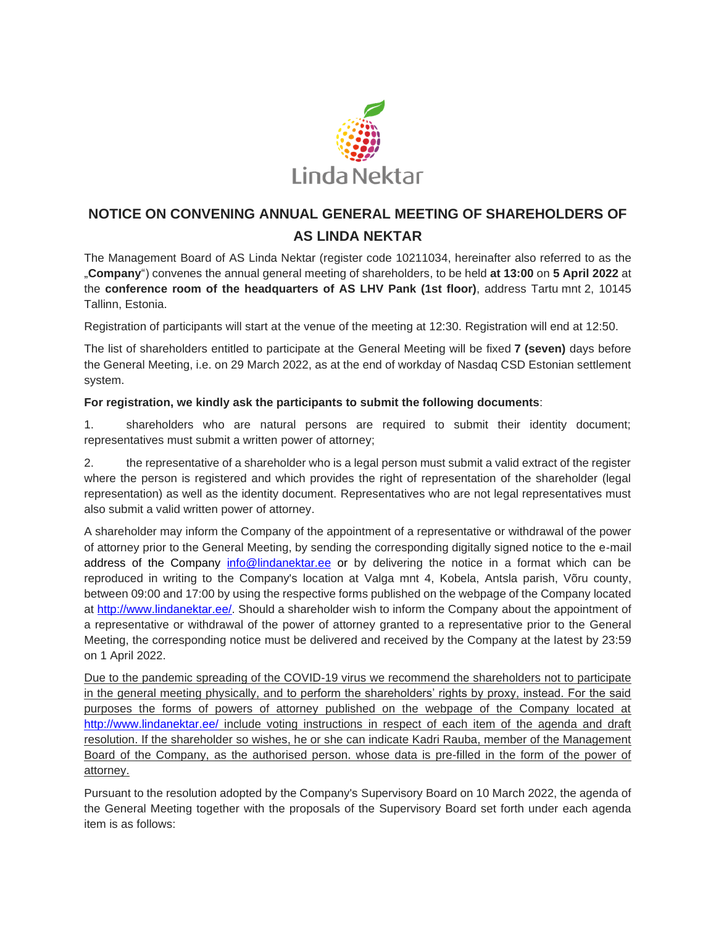

# **NOTICE ON CONVENING ANNUAL GENERAL MEETING OF SHAREHOLDERS OF AS LINDA NEKTAR**

The Management Board of AS Linda Nektar (register code 10211034, hereinafter also referred to as the "**Company**") convenes the annual general meeting of shareholders, to be held **at 13:00** on **5 April 2022** at the **conference room of the headquarters of AS LHV Pank (1st floor)**, address Tartu mnt 2, 10145 Tallinn, Estonia.

Registration of participants will start at the venue of the meeting at 12:30. Registration will end at 12:50.

The list of shareholders entitled to participate at the General Meeting will be fixed **7 (seven)** days before the General Meeting, i.e. on 29 March 2022, as at the end of workday of Nasdaq CSD Estonian settlement system.

#### **For registration, we kindly ask the participants to submit the following documents**:

1. shareholders who are natural persons are required to submit their identity document; representatives must submit a written power of attorney;

2. the representative of a shareholder who is a legal person must submit a valid extract of the register where the person is registered and which provides the right of representation of the shareholder (legal representation) as well as the identity document. Representatives who are not legal representatives must also submit a valid written power of attorney.

A shareholder may inform the Company of the appointment of a representative or withdrawal of the power of attorney prior to the General Meeting, by sending the corresponding digitally signed notice to the e-mail address of the Company [info@lindanektar.ee](mailto:info@lindanektar.ee) or by delivering the notice in a format which can be reproduced in writing to the Company's location at Valga mnt 4, Kobela, Antsla parish, Võru county, between 09:00 and 17:00 by using the respective forms published on the webpage of the Company located at [http://www.lindanektar.ee/.](http://www.lindanektar.ee/) Should a shareholder wish to inform the Company about the appointment of a representative or withdrawal of the power of attorney granted to a representative prior to the General Meeting, the corresponding notice must be delivered and received by the Company at the latest by 23:59 on 1 April 2022.

Due to the pandemic spreading of the COVID-19 virus we recommend the shareholders not to participate in the general meeting physically, and to perform the shareholders' rights by proxy, instead. For the said purposes the forms of powers of attorney published on the webpage of the Company located at <http://www.lindanektar.ee/> include voting instructions in respect of each item of the agenda and draft resolution. If the shareholder so wishes, he or she can indicate Kadri Rauba, member of the Management Board of the Company, as the authorised person. whose data is pre-filled in the form of the power of attorney.

Pursuant to the resolution adopted by the Company's Supervisory Board on 10 March 2022, the agenda of the General Meeting together with the proposals of the Supervisory Board set forth under each agenda item is as follows: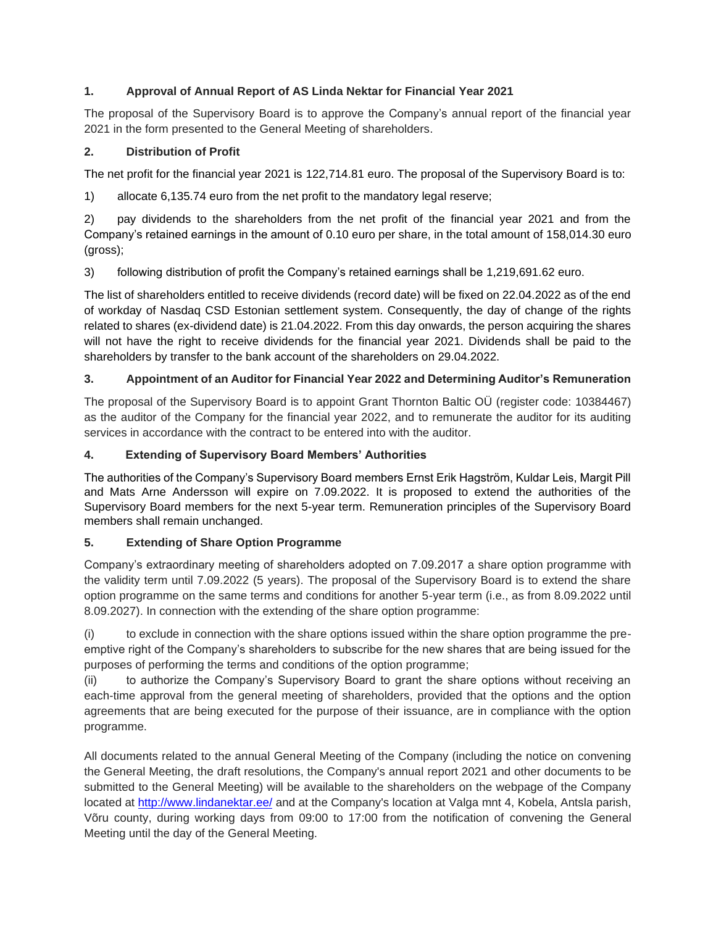# **1. Approval of Annual Report of AS Linda Nektar for Financial Year 2021**

The proposal of the Supervisory Board is to approve the Company's annual report of the financial year 2021 in the form presented to the General Meeting of shareholders.

# **2. Distribution of Profit**

The net profit for the financial year 2021 is 122,714.81 euro. The proposal of the Supervisory Board is to:

1) allocate 6,135.74 euro from the net profit to the mandatory legal reserve;

2) pay dividends to the shareholders from the net profit of the financial year 2021 and from the Company's retained earnings in the amount of 0.10 euro per share, in the total amount of 158,014.30 euro (gross);

3) following distribution of profit the Company's retained earnings shall be 1,219,691.62 euro.

The list of shareholders entitled to receive dividends (record date) will be fixed on 22.04.2022 as of the end of workday of Nasdaq CSD Estonian settlement system. Consequently, the day of change of the rights related to shares (ex-dividend date) is 21.04.2022. From this day onwards, the person acquiring the shares will not have the right to receive dividends for the financial year 2021. Dividends shall be paid to the shareholders by transfer to the bank account of the shareholders on 29.04.2022.

# **3. Appointment of an Auditor for Financial Year 2022 and Determining Auditor's Remuneration**

The proposal of the Supervisory Board is to appoint Grant Thornton Baltic OÜ (register code: 10384467) as the auditor of the Company for the financial year 2022, and to remunerate the auditor for its auditing services in accordance with the contract to be entered into with the auditor.

## **4. Extending of Supervisory Board Members' Authorities**

The authorities of the Company's Supervisory Board members Ernst Erik Hagström, Kuldar Leis, Margit Pill and Mats Arne Andersson will expire on 7.09.2022. It is proposed to extend the authorities of the Supervisory Board members for the next 5-year term. Remuneration principles of the Supervisory Board members shall remain unchanged.

## **5. Extending of Share Option Programme**

Company's extraordinary meeting of shareholders adopted on 7.09.2017 a share option programme with the validity term until 7.09.2022 (5 years). The proposal of the Supervisory Board is to extend the share option programme on the same terms and conditions for another 5-year term (i.e., as from 8.09.2022 until 8.09.2027). In connection with the extending of the share option programme:

(i) to exclude in connection with the share options issued within the share option programme the preemptive right of the Company's shareholders to subscribe for the new shares that are being issued for the purposes of performing the terms and conditions of the option programme;

(ii) to authorize the Company's Supervisory Board to grant the share options without receiving an each-time approval from the general meeting of shareholders, provided that the options and the option agreements that are being executed for the purpose of their issuance, are in compliance with the option programme.

All documents related to the annual General Meeting of the Company (including the notice on convening the General Meeting, the draft resolutions, the Company's annual report 2021 and other documents to be submitted to the General Meeting) will be available to the shareholders on the webpage of the Company located at <http://www.lindanektar.ee/> and at the Company's location at Valga mnt 4, Kobela, Antsla parish, Võru county, during working days from 09:00 to 17:00 from the notification of convening the General Meeting until the day of the General Meeting.